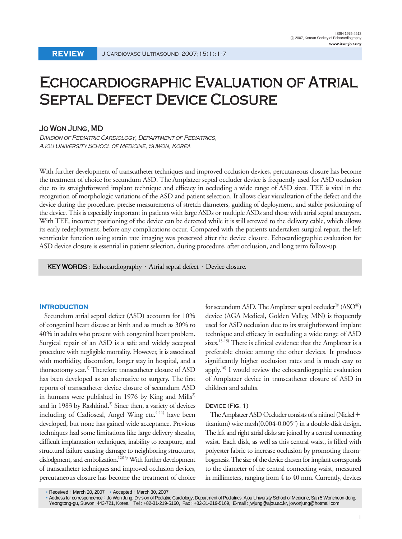# Echocardiographic Evaluation of Atrial SEPTAL DEFECT DEVICE CLOSURE

### Jo Won Jung, MD

Division of Pediatric Cardiology, Department of Pediatrics, Ajou University School of Medicine, Suwon, Korea

With further development of transcatheter techniques and improved occlusion devices, percutaneous closure has become the treatment of choice for secundum ASD. The Amplatzer septal occluder device is frequently used for ASD occlusion due to its straightforward implant technique and efficacy in occluding a wide range of ASD sizes. TEE is vital in the recognition of morphologic variations of the ASD and patient selection. It allows clear visualization of the defect and the device during the procedure, precise measurements of stretch diameters, guiding of deployment, and stable positioning of the device. This is especially important in patients with large ASDs or multiple ASDs and those with atrial septal aneurysm. With TEE, incorrect positioning of the device can be detected while it is still screwed to the delivery cable, which allows its early redeployment, before any complications occur. Compared with the patients undertaken surgical repair, the left ventricular function using strain rate imaging was preserved after the device closure. Echocardiographic evaluation for ASD device closure is essential in patient selection, during procedure, after occlusion, and long term follow-up.

KEY WORDS : Echocardiography  $\cdot$  Atrial septal defect  $\cdot$  Device closure.

#### **Introduction**

Secundum atrial septal defect (ASD) accounts for 10% of congenital heart disease at birth and as much as 30% to 40% in adults who present with congenital heart problem. Surgical repair of an ASD is a safe and widely accepted procedure with negligible mortality. However, it is associated with morbidity, discomfort, longer stay in hospital, and a thoracotomy scar.<sup>1)</sup> Therefore transcatheter closure of ASD has been developed as an alternative to surgery. The first reports of transcatheter device closure of secundum ASD in humans were published in 1976 by King and Mills<sup>2)</sup> and in 1983 by Rashkind.<sup>3)</sup> Since then, a variety of devices including of Cadioseal, Angel Wing etc.<sup>4-11)</sup> have been developed, but none has gained wide acceptance. Previous techniques had some limitations like large delivery sheaths, difficult implantation techniques, inability to recapture, and structural failure causing damage to neighboring structures, dislodgment, and embolization.<sup>12)13)</sup> With further development of transcatheter techniques and improved occlusion devices, percutaneous closure has become the treatment of choice

Address for correspondence:Jo Won Jung, Division of Pediatric Cardiology, Department of Pediatrics, Ajou University School of Medicine, San 5 Woncheon-dong, Yeongtong-gu, Suwon 443-721, Korea Tel : +82-31-219-5160, Fax : +82-31-219-5169, E-mail : jwjung@ajou.ac.kr, jowonjung@hotmail.com

for secundum ASD. The Amplatzer septal occluder<sup>®</sup> (ASO<sup>®</sup>) device (AGA Medical, Golden Valley, MN) is frequently used for ASD occlusion due to its straightforward implant technique and efficacy in occluding a wide range of ASD sizes.<sup>13-15)</sup> There is clinical evidence that the Amplatzer is a preferable choice among the other devices. It produces significantly higher occlusion rates and is much easy to apply.16) I would review the echocardiographic evaluation of Amplatzer device in transcatheter closure of ASD in children and adults.

#### **Device (Fig. 1)**

The Amplatzer ASD Occluder consists of a nitinol (Nickel + titanium) wire mesh(0.004-0.005") in a double-disk design. The left and right atrial disks are joined by a central connecting waist. Each disk, as well as this central waist, is filled with polyester fabric to increase occlusion by promoting thrombogenesis. The size of the device chosen for implant corresponds to the diameter of the central connecting waist, measured in millimeters, ranging from 4 to 40 mm. Currently, devices

Received: March 20, 2007 • Accepted: March 30, 2007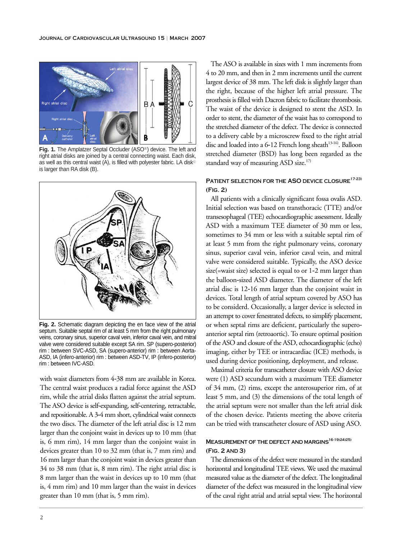

Fig. 1. The Amplatzer Septal Occluder (ASO<sup>®</sup>) device. The left and right atrial disks are joined by a central connecting waist. Each disk, as well as this central waist (A), is filled with polyester fabric. LA disk<sup>®</sup> is larger than RA disk (B).



**Fig. 2.** Schematic diagram depicting the en face view of the atrial septum. Suitable septal rim of at least 5 mm from the right pulmonary veins, coronary sinus, superior caval vein, inferior caval vein, and mitral valve were considered suitable except SA rim. SP (supero-posterior) rim : between SVC-ASD, SA (supero-anterior) rim : between Aorta-ASD, IA (infero-anterior) rim : between ASD-TV, IP (infero-posterior) rim : between IVC-ASD.

with waist diameters from 4-38 mm are available in Korea. The central waist produces a radial force against the ASD rim, while the atrial disks flatten against the atrial septum. The ASO device is self-expanding, self-centering, retractable, and repositionable. A 3-4 mm short, cylindrical waist connects the two discs. The diameter of the left atrial disc is 12 mm larger than the conjoint waist in devices up to 10 mm (that is, 6 mm rim), 14 mm larger than the conjoint waist in devices greater than 10 to 32 mm (that is, 7 mm rim) and 16 mm larger than the conjoint waist in devices greater than 34 to 38 mm (that is, 8 mm rim). The right atrial disc is 8 mm larger than the waist in devices up to 10 mm (that is, 4 mm rim) and 10 mm larger than the waist in devices greater than 10 mm (that is, 5 mm rim).

The ASO is available in sizes with 1 mm increments from 4 to 20 mm, and then in 2 mm increments until the current largest device of 38 mm. The left disk is slightly larger than the right, because of the higher left atrial pressure. The prosthesis is filled with Dacron fabric to facilitate thrombosis. The waist of the device is designed to stent the ASD. In order to stent, the diameter of the waist has to correspond to the stretched diameter of the defect. The device is connected to a delivery cable by a microscrew fixed to the right atrial disc and loaded into a 6-12 French long sheath<sup>13-16</sup>. Balloon stretched diameter (BSD) has long been regarded as the standard way of measuring ASD size.<sup>17)</sup>

# **Patient selection for the ASO device closure17-23) (Fig. 2)**

All patients with a clinically significant fossa ovalis ASD. Initial selection was based on transthoracic (TTE) and/or transesophageal (TEE) echocardiographic assessment. Ideally ASD with a maximum TEE diameter of 30 mm or less, sometimes to 34 mm or less with a suitable septal rim of at least 5 mm from the right pulmonary veins, coronary sinus, superior caval vein, inferior caval vein, and mitral valve were considered suitable. Typically, the ASO device size(=waist size) selected is equal to or 1-2 mm larger than the balloon-sized ASD diameter. The diameter of the left atrial disc is 12-16 mm larger than the conjoint waist in devices. Total length of atrial septum covered by ASO has to be considerd. Occasionally, a larger device is selected in an attempt to cover fenestrated defects, to simplify placement, or when septal rims are deficient, particularly the superoanterior septal rim (retroaortic). To ensure optimal position of the ASO and closure of the ASD, echocardiographic (echo) imaging, either by TEE or intracardiac (ICE) methods, is used during device positioning, deployment, and release.

Maximal criteria for transcatheter closure with ASO device were (1) ASD secundum with a maximum TEE diameter of 34 mm, (2) rims, except the anterosuperior rim, of at least 5 mm, and (3) the dimensions of the total length of the atrial septum were not smaller than the left atrial disk of the chosen device. Patients meeting the above criteria can be tried with transcatheter closure of ASD using ASO.

# **Measurement of the defect and margins16-19)24)25) (Fig. 2 and 3)**

The dimensions of the defect were measured in the standard horizontal and longitudinal TEE views. We used the maximal measured value as the diameter of the defect. The longitudinal diameter of the defect was measured in the longitudinal view of the caval right atrial and atrial septal view. The horizontal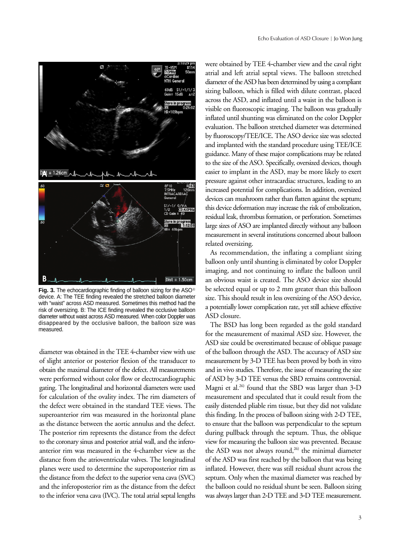



Fig. 3. The echocardiographic finding of balloon sizing for the ASO<sup>®</sup> device. A: The TEE finding revealed the stretched balloon diameter with "waist" across ASD measured. Sometimes this method had the risk of oversizing. B: The ICE finding revealed the occlusive balloon diameter without waist across ASD measured. When color Doppler was disappeared by the occlusive balloon, the balloon size was measured.

diameter was obtained in the TEE 4-chamber view with use of slight anterior or posterior flexion of the transducer to obtain the maximal diameter of the defect. All measurements were performed without color flow or electrocardiographic gating. The longitudinal and horizontal diameters were used for calculation of the ovality index. The rim diameters of the defect were obtained in the standard TEE views. The superoanterior rim was measured in the horizontal plane as the distance between the aortic annulus and the defect. The posterior rim represents the distance from the defect to the coronary sinus and posterior atrial wall, and the inferoanterior rim was measured in the 4-chamber view as the distance from the atrioventricular valves. The longitudinal planes were used to determine the superoposterior rim as the distance from the defect to the superior vena cava (SVC) and the inferoposterior rim as the distance from the defect to the inferior vena cava (IVC). The total atrial septal lengths

were obtained by TEE 4-chamber view and the caval right atrial and left atrial septal views. The balloon stretched diameter of the ASD has been determined by using a compliant sizing balloon, which is filled with dilute contrast, placed across the ASD, and inflated until a waist in the balloon is visible on fluoroscopic imaging. The balloon was gradually inflated until shunting was eliminated on the color Doppler evaluation. The balloon stretched diameter was determined by fluoroscopy/TEE/ICE. The ASO device size was selected and implanted with the standard procedure using TEE/ICE guidance. Many of these major complications may be related to the size of the ASO. Specifically, oversized devices, though easier to implant in the ASD, may be more likely to exert pressure against other intracardiac structures, leading to an increased potential for complications. In addition, oversized devices can mushroom rather than flatten against the septum; this device deformation may increase the risk of embolization, residual leak, thrombus formation, or perforation. Sometimes large sizes of ASO are implanted directly without any balloon measurement in several institutions concerned about balloon related oversizing.

As recommendation, the inflating a compliant sizing balloon only until shunting is eliminated by color Doppler imaging, and not continuing to inflate the balloon until an obvious waist is created. The ASO device size should be selected equal or up to 2 mm greater than this balloon size. This should result in less oversizing of the ASO device, a potentially lower complication rate, yet still achieve effective ASD closure.

The BSD has long been regarded as the gold standard for the measurement of maximal ASD size. However, the ASD size could be overestimated because of oblique passage of the balloon through the ASD. The accuracy of ASD size measurement by 3-D TEE has been proved by both in vitro and in vivo studies. Therefore, the issue of measuring the size of ASD by 3-D TEE versus the SBD remains controversial. Magni et al.<sup>26</sup> found that the SBD was larger than 3-D measurement and speculated that it could result from the easily distended pliable rim tissue, but they did not validate this finding. In the process of balloon sizing with 2-D TEE, to ensure that the balloon was perpendicular to the septum during pullback through the septum. Thus, the oblique view for measuring the balloon size was prevented. Because the ASD was not always round,<sup>26)</sup> the minimal diameter of the ASD was first reached by the balloon that was being inflated. However, there was still residual shunt across the septum. Only when the maximal diameter was reached by the balloon could no residual shunt be seen. Balloon sizing was always larger than 2-D TEE and 3-D TEE measurement.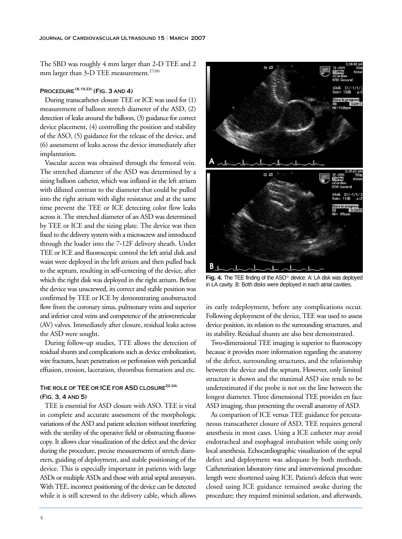The SBD was roughly 4 mm larger than 2-D TEE and 2 mm larger than 3-D TEE measurement.<sup>27)28)</sup>

# **Procedure18,19,23) (Fig. 3 and 4)**

During transcatheter closure TEE or ICE was used for (1) measurement of balloon stretch diameter of the ASD, (2) detection of leaks around the balloon, (3) guidance for correct device placement, (4) controlling the position and stability of the ASO, (5) guidance for the release of the device, and (6) assessment of leaks across the device immediately after implantation.

Vascular access was obtained through the femoral vein. The stretched diameter of the ASD was determined by a sizing balloon catheter, which was inflated in the left atrium with diluted contrast to the diameter that could be pulled into the right atrium with slight resistance and at the same time prevent the TEE or ICE detecting color flow leaks across it. The stretched diameter of an ASD was determined by TEE or ICE and the sizing plate. The device was then fixed to the delivery system with a microscrew and introduced through the loader into the 7-12F delivery sheath. Under TEE or ICE and fluoroscopic control the left atrial disk and waist were deployed in the left atrium and then pulled back to the septum, resulting in self-centering of the device, after which the right disk was deployed in the right atrium. Before the device was unscrewed, its correct and stable position was confirmed by TEE or ICE by demonstrating unobstructed flow from the coronary sinus, pulmonary veins and superior and inferior caval veins and competence of the atrioventricular (AV) valves. Immediately after closure, residual leaks across the ASD were sought.

During follow-up studies, TTE allows the detection of residual shunts and complications such as device embolization, wire fractures, heart penetration or perforation with pericardial effusion, erosion, laceration, thrombus formation and etc.

# **The role of TEE or ICE for ASD closure22-24) (Fig. 3, 4 and 5)**

TEE is essential for ASD closure with ASO. TEE is vital in complete and accurate assessment of the morphologic variations of the ASD and patient selection without interfering with the sterility of the operative field or obstructing fluoroscopy. It allows clear visualization of the defect and the device during the procedure, precise measurements of stretch diameters, guiding of deployment, and stable positioning of the device. This is especially important in patients with large ASDs or multiple ASDs and those with atrial septal aneurysm. With TEE, incorrect positioning of the device can be detected while it is still screwed to the delivery cable, which allows



Fig. 4. The TEE finding of the ASO<sup>®</sup> device. A: LA disk was deployed in LA cavity. B: Both disks were deployed in each atrial cavities.

its early redeployment, before any complications occur. Following deployment of the device, TEE was used to assess device position, its relation to the surrounding structures, and its stability. Residual shunts are also best demonstrated.

Two-dimensional TEE imaging is superior to fluoroscopy because it provides more information regarding the anatomy of the defect, surrounding structures, and the relationship between the device and the septum. However, only limited structure is shown and the maximal ASD size tends to be underestimated if the probe is not on the line between the longest diameter. Three dimensional TEE provides en face ASD imaging, thus presenting the overall anatomy of ASD.

As comparison of ICE versus TEE guidance for percutaneous transcatheter closure of ASD, TEE requires general anesthesia in most cases. Using a ICE catheter may avoid endotracheal and esophageal intubation while using only local anesthesia. Echocardiographic visualization of the septal defect and deployment was adequate by both methods. Catheterization laboratory time and interventional procedure length were shortened using ICE. Patient's defects that were closed using ICE guidance remained awake during the procedure; they required minimal sedation, and afterwards,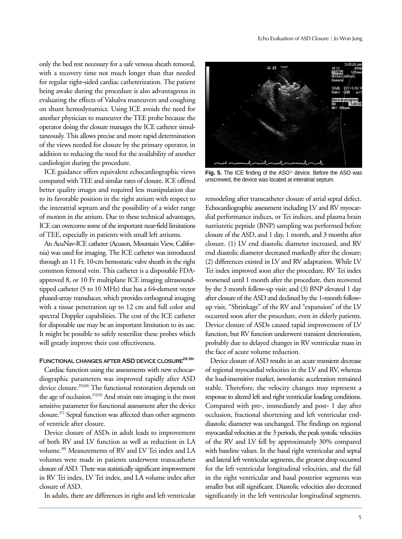only the bed rest necessary for a safe venous sheath removal, with a recovery time not much longer than that needed for regular right-sided cardiac catheterization. The patient being awake during the procedure is also advantageous in evaluating the effects of Valsalva maneuvers and coughing on shunt hemodynamics. Using ICE avoids the need for another physician to maneuver the TEE probe because the operator doing the closure manages the ICE catheter simultaneously. This allows precise and more rapid determination of the views needed for closure by the primary operator, in addition to reducing the need for the availability of another cardiologist during the procedure.

ICE guidance offers equivalent echocardiographic views compared with TEE and similar rates of closure. ICE offered better quality images and required less manipulation due to its favorable position in the right atrium with respect to the interatrial septum and the possibility of a wider range of motion in the atrium. Due to these technical advantages, ICE can overcome some of the important near-field limitations of TEE, especially in patients with small left atriums.

An AcuNav-ICE catheter (Acuson, Mountain View, California) was used for imaging. The ICE catheter was introduced through an 11 Fr, 10-cm hemostatic valve sheath in the right common femoral vein. This catheter is a disposable FDAapproved 8, or 10 Fr multiplane ICE imaging ultrasoundtipped catheter (5 to 10 MHz) that has a 64-element vector phased-array transducer, which provides orthogonal imaging with a tissue penetration up to 12 cm and full color and spectral Doppler capabilities. The cost of the ICE catheter for disposable use may be an important limitation to its use. It might be possible to safely resterilize these probes which will greatly improve their cost effectiveness.

## FUNCTIONAL CHANGES AFTER ASD DEVICE CLOSURE<sup>29-39)</sup>

Cardiac function using the assessments with new echocardiographic parameters was improved rapidly after ASD device closure.<sup>29)30)</sup> The functional restoration depends on the age of occlusion.<sup>31)32)</sup> And strain rate imaging is the most sensitive parameter for functional assessment after the device closure.37) Septal function was affected than other segments of ventricle after closure.

Device closure of ASDs in adult leads to improvement of both RV and LV function as well as reduction in LA volume.30) Measurements of RV and LV Tei index and LA volumes were made in patients underwent transcatheter closure of ASD. There was statistically significant improvement in RV Tei index, LV Tei index, and LA volume index after closure of ASD.

In adults, there are differences in right and left ventricular



Fig. 5. The ICE finding of the ASO<sup>®</sup> device. Before the ASO was unscrewed, the device was located at interatrial septum.

remodeling after transcatheter closure of atrial septal defect. Echocardiographic assessment including LV and RV myocardial performance indices, or Tei indices, and plasma brain natriuretic peptide (BNP) sampling was performed before closure of the ASD, and 1 day, 1 month, and 3 months after closure. (1) LV end diastolic diameter increased, and RV end diastolic diameter decreased markedly after the closure; (2) differences existed in LV and RV adaptation. While LV Tei index improved soon after the procedure, RV Tei index worsened until 1 month after the procedure, then recovered by the 3 month follow-up visit; and (3) BNP elevated 1 day after closure of the ASD and declined by the 1-month followup visit. "Shrinkage" of the RV and "expansion" of the LV occurred soon after the procedure, even in elderly patients. Device closure of ASDs caused rapid improvement of LV function, but RV function underwent transient deterioration, probably due to delayed changes in RV ventricular mass in the face of acute volume reduction.

Device closure of ASD results in an acute transient decrease of regional myocardial velocities in the LV and RV, whereas the load-insensitive marker, isovolumic acceleration remained stable. Therefore, the velocity changes may represent a response to altered left and right ventricular loading conditions. Compared with pre-, immediately and post- 1 day after occlusion, fractional shortening and left ventricular enddiastolic diameter was unchanged. The findings on regional myocardial velocities at the 3 periods, the peak systolic velocities of the RV and LV fell by approximately 30% compared with baseline values. In the basal right ventricular and septal and lateral left ventricular segments, the greatest drop occurred for the left ventricular longitudinal velocities, and the fall in the right ventricular and basal posterior segments was smaller but still significant. Diastolic velocities also decreased significantly in the left ventricular longitudinal segments.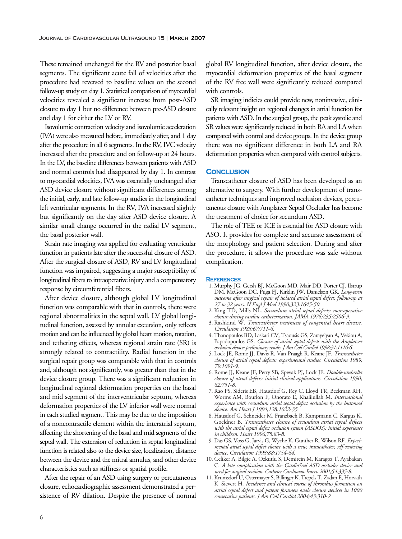These remained unchanged for the RV and posterior basal segments. The significant acute fall of velocities after the procedure had reversed to baseline values on the second follow-up study on day 1. Statistical comparison of myocardial velocities revealed a significant increase from post-ASD closure to day 1 but no difference between pre-ASD closure and day 1 for either the LV or RV.

Isovolumic contraction velocity and isovolumic acceleration (IVA) were also measured before, immediately after, and 1 day after the procedure in all 6 segments. In the RV, IVC velocity increased after the procedure and on follow-up at 24 hours. In the LV, the baseline differences between patients with ASD and normal controls had disappeared by day 1. In contrast to myocardial velocities, IVA was essentially unchanged after ASD device closure without significant differences among the initial, early, and late follow-up studies in the longitudinal left ventricular segments. In the RV, IVA increased slightly but significantly on the day after ASD device closure. A similar small change occurred in the radial LV segment, the basal posterior wall.

Strain rate imaging was applied for evaluating ventricular function in patients late after the successful closure of ASD. After the surgical closure of ASD, RV and LV longitudinal function was impaired, suggesting a major susceptibility of longitudinal fibers to intraoperative injury and a compensatory response by circumferential fibers.

After device closure, although global LV longitudinal function was comparable with that in controls, there were regional abnormalities in the septal wall. LV global longitudinal function, assessed by annular excursion, only reflects motion and can be influenced by global heart motion, rotation, and tethering effects, whereas regional strain ratc (SR) is strongly related to contractility. Radial function in the surgical repair group was comparable with that in controls and, although not significantly, was greater than that in the device closure group. There was a significant reduction in longitudinal regional deformation properties on the basal and mid segment of the interventricular septum, whereas deformation properties of the LV inferior wall were normal in each studied segment. This may be due to the imposition of a noncontractile element within the interatrial septum, affecting the shortening of the basal and mid segments of the septal wall. The extension of reduction in septal longitudinal function is related also to the device size, localization, distance between the device and the mitral annulus, and other device characteristics such as stiffness or spatial profile.

After the repair of an ASD using surgery or percutaneous closure, echocardiographic assessment demonstrated a persistence of RV dilation. Despite the presence of normal global RV longitudinal function, after device closure, the myocardial deformation properties of the basal segment of the RV free wall were significantly reduced compared with controls.

SR imaging indicies could provide new, noninvasive, clinically relevant insight on regional changes in atrial function for patients with ASD. In the surgical group, the peak systolic and SR values were significantly reduced in both RA and LA when compared with control and device groups. In the device group there was no significant difference in both LA and RA deformation properties when compared with control subjects.

#### **Conclusion**

Transcatheter closure of ASD has been developed as an alternative to surgery. With further development of transcatheter techniques and improved occlusion devices, percutaneous closure with Amplatzer Septal Occluder has become the treatment of choice for secundum ASD.

The role of TEE or ICE is essential for ASD closure with ASO. It provides for complete and accurate assessment of the morphology and patient selection. During and after the procedure, it allows the procedure was safe without complication.

#### **References**

- 1. Murphy JG, Gersh BJ, McGoon MD, Mair DD, Porter CJ, Ilstrup DM, McGoon DC, Puga FJ, Kirklin JW, Danielson GK. *Long-term outcome after surgical repair of isolated atrial septal defect: follow-up at 27 to 32 years. N Engl J Med 1990;323:1645-50.*
- 2. King TD, Mills NL. *Secundum atrial septal defects: non-operative closure during cardiac catheterization. JAMA 1976;235:2506-9.*
- 3. Rashkind W. *Transcatheter treatment of congenital heart disease. Circulation 1983;67:711-6.*
- 4. Thanopoulos BD, Laskari CV, Tsaousis GS, Zarayelyan A, Vekiou A, Papadopoulos GS. *Closure of atrial septal defects with the Amplatzer occlusion device: preliminary results. J Am Coll Cardiol 1998;31:1110-6.*
- 5. Lock JE, Rome JJ, Davis R, Van Praagh R, Keane JF. *Transcatheter closure of atrial septal defects: experimental studies. Circulation 1989; 79:1091-9.*
- 6. Rome JJ, Keane JF, Perry SB, Spevak PJ, Lock JE. *Double-umbrella closure of atrial defects: initial clinical applications. Circulation 1990; 82:751-8.*
- 7. Rao PS, Sideris EB, Hausdorf G, Rey C, Lloyd TR, Beekman RH, Worms AM, Bourlon F, Onorato E, Khalilullah M. *International experience with secundum atrial septal defect occlusion by the buttoned device. Am Heart J 1994;128:1022-35.*
- 8. Hausdorf G, Schneider M, Franzbach B, Kampmann C, Kargus K, Goeldner B. *Transcatheter closure of secundum atrial septal defects with the atrial septal defect occlusion system (ASDOS): initial experience in children. Heart 1996;75:83-8.*
- 9. Das GS, Voss G, Jarvis G, Wyche K, Gunther R, Wilson RF. *Experimental atrial septal defect closure with a new, transcatheter, self-centering device. Circulation 1993;88:1754-64.*
- 10. Celiker A, Bilgic A, Ozkutlu S, Demircin M, Karagoz T, Ayabakan C. *A late complication with the CardioSeal ASD occluder device and need for surgical revision. Catheter Cardiovasc Interv 2001;54:335-8.*
- 11. Krumsdorf U, Ostermayer S, Billinger K, Trepels T, Zadan E, Horvath K, Sievert H. *Incidence and clinical course of thrombus formation on atrial septal defect and patent foramen ovale closure devices in 1000 consecutive patients. J Am Coll Cardiol 2004;43:310-2.*